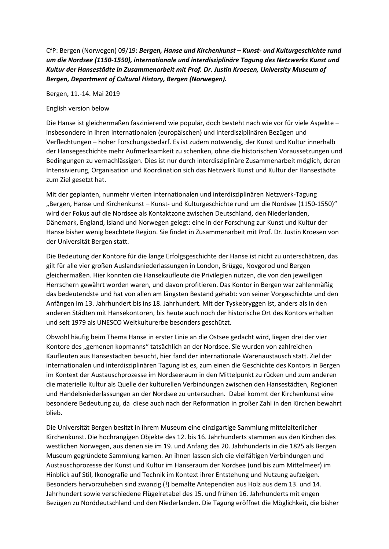CfP: Bergen (Norwegen) 09/19: *Bergen, Hanse und Kirchenkunst – Kunst- und Kulturgeschichte rund um die Nordsee (1150-1550), internationale und interdisziplinäre Tagung des Netzwerks Kunst und Kultur der Hansestädte in Zusammenarbeit mit Prof. Dr. Justin Kroesen, University Museum of Bergen, Department of Cultural History, Bergen (Norwegen).*

Bergen, 11.-14. Mai 2019

## English version below

Die Hanse ist gleichermaßen faszinierend wie populär, doch besteht nach wie vor für viele Aspekte – insbesondere in ihren internationalen (europäischen) und interdisziplinären Bezügen und Verflechtungen – hoher Forschungsbedarf. Es ist zudem notwendig, der Kunst und Kultur innerhalb der Hansegeschichte mehr Aufmerksamkeit zu schenken, ohne die historischen Voraussetzungen und Bedingungen zu vernachlässigen. Dies ist nur durch interdisziplinäre Zusammenarbeit möglich, deren Intensivierung, Organisation und Koordination sich das Netzwerk Kunst und Kultur der Hansestädte zum Ziel gesetzt hat.

Mit der geplanten, nunmehr vierten internationalen und interdisziplinären Netzwerk-Tagung "Bergen, Hanse und Kirchenkunst – Kunst- und Kulturgeschichte rund um die Nordsee (1150-1550)" wird der Fokus auf die Nordsee als Kontaktzone zwischen Deutschland, den Niederlanden, Dänemark, England, Island und Norwegen gelegt: eine in der Forschung zur Kunst und Kultur der Hanse bisher wenig beachtete Region. Sie findet in Zusammenarbeit mit Prof. Dr. Justin Kroesen von der Universität Bergen statt.

Die Bedeutung der Kontore für die lange Erfolgsgeschichte der Hanse ist nicht zu unterschätzen, das gilt für alle vier großen Auslandsniederlassungen in London, Brügge, Novgorod und Bergen gleichermaßen. Hier konnten die Hansekaufleute die Privilegien nutzen, die von den jeweiligen Herrschern gewährt worden waren, und davon profitieren. Das Kontor in Bergen war zahlenmäßig das bedeutendste und hat von allen am längsten Bestand gehabt: von seiner Vorgeschichte und den Anfängen im 13. Jahrhundert bis ins 18. Jahrhundert. Mit der Tyskebryggen ist, anders als in den anderen Städten mit Hansekontoren, bis heute auch noch der historische Ort des Kontors erhalten und seit 1979 als UNESCO Weltkulturerbe besonders geschützt.

Obwohl häufig beim Thema Hanse in erster Linie an die Ostsee gedacht wird, liegen drei der vier Kontore des "gemenen kopmanns" tatsächlich an der Nordsee. Sie wurden von zahlreichen Kaufleuten aus Hansestädten besucht, hier fand der internationale Warenaustausch statt. Ziel der internationalen und interdisziplinären Tagung ist es, zum einen die Geschichte des Kontors in Bergen im Kontext der Austauschprozesse im Nordseeraum in den Mittelpunkt zu rücken und zum anderen die materielle Kultur als Quelle der kulturellen Verbindungen zwischen den Hansestädten, Regionen und Handelsniederlassungen an der Nordsee zu untersuchen. Dabei kommt der Kirchenkunst eine besondere Bedeutung zu, da diese auch nach der Reformation in großer Zahl in den Kirchen bewahrt blieb.

Die Universität Bergen besitzt in ihrem Museum eine einzigartige Sammlung mittelalterlicher Kirchenkunst. Die hochrangigen Objekte des 12. bis 16. Jahrhunderts stammen aus den Kirchen des westlichen Norwegen, aus denen sie im 19. und Anfang des 20. Jahrhunderts in die 1825 als Bergen Museum gegründete Sammlung kamen. An ihnen lassen sich die vielfältigen Verbindungen und Austauschprozesse der Kunst und Kultur im Hanseraum der Nordsee (und bis zum Mittelmeer) im Hinblick auf Stil, Ikonografie und Technik im Kontext ihrer Entstehung und Nutzung aufzeigen. Besonders hervorzuheben sind zwanzig (!) bemalte Antependien aus Holz aus dem 13. und 14. Jahrhundert sowie verschiedene Flügelretabel des 15. und frühen 16. Jahrhunderts mit engen Bezügen zu Norddeutschland und den Niederlanden. Die Tagung eröffnet die Möglichkeit, die bisher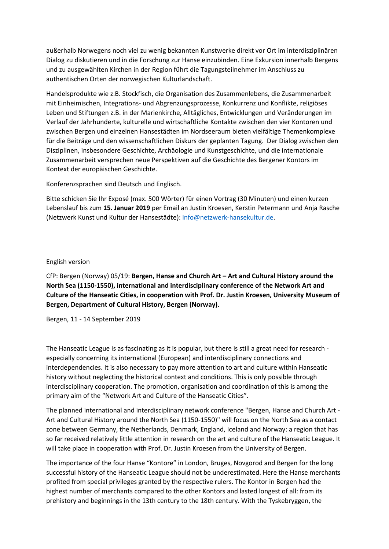außerhalb Norwegens noch viel zu wenig bekannten Kunstwerke direkt vor Ort im interdisziplinären Dialog zu diskutieren und in die Forschung zur Hanse einzubinden. Eine Exkursion innerhalb Bergens und zu ausgewählten Kirchen in der Region führt die Tagungsteilnehmer im Anschluss zu authentischen Orten der norwegischen Kulturlandschaft.

Handelsprodukte wie z.B. Stockfisch, die Organisation des Zusammenlebens, die Zusammenarbeit mit Einheimischen, Integrations- und Abgrenzungsprozesse, Konkurrenz und Konflikte, religiöses Leben und Stiftungen z.B. in der Marienkirche, Alltägliches, Entwicklungen und Veränderungen im Verlauf der Jahrhunderte, kulturelle und wirtschaftliche Kontakte zwischen den vier Kontoren und zwischen Bergen und einzelnen Hansestädten im Nordseeraum bieten vielfältige Themenkomplexe für die Beiträge und den wissenschaftlichen Diskurs der geplanten Tagung. Der Dialog zwischen den Disziplinen, insbesondere Geschichte, Archäologie und Kunstgeschichte, und die internationale Zusammenarbeit versprechen neue Perspektiven auf die Geschichte des Bergener Kontors im Kontext der europäischen Geschichte.

Konferenzsprachen sind Deutsch und Englisch.

Bitte schicken Sie Ihr Exposé (max. 500 Wörter) für einen Vortrag (30 Minuten) und einen kurzen Lebenslauf bis zum **15. Januar 2019** per Email an Justin Kroesen, Kerstin Petermann und Anja Rasche (Netzwerk Kunst und Kultur der Hansestädte): [info@netzwerk-hansekultur.de.](mailto:info@netzwerk-hansekultur.de)

## English version

CfP: Bergen (Norway) 05/19: **Bergen, Hanse and Church Art – Art and Cultural History around the North Sea (1150-1550), international and interdisciplinary conference of the Network Art and Culture of the Hanseatic Cities, in cooperation with Prof. Dr. Justin Kroesen, University Museum of Bergen, Department of Cultural History, Bergen (Norway)**.

Bergen, 11 - 14 September 2019

The Hanseatic League is as fascinating as it is popular, but there is still a great need for research especially concerning its international (European) and interdisciplinary connections and interdependencies. It is also necessary to pay more attention to art and culture within Hanseatic history without neglecting the historical context and conditions. This is only possible through interdisciplinary cooperation. The promotion, organisation and coordination of this is among the primary aim of the "Network Art and Culture of the Hanseatic Cities".

The planned international and interdisciplinary network conference "Bergen, Hanse and Church Art - Art and Cultural History around the North Sea (1150-1550)" will focus on the North Sea as a contact zone between Germany, the Netherlands, Denmark, England, Iceland and Norway: a region that has so far received relatively little attention in research on the art and culture of the Hanseatic League. It will take place in cooperation with Prof. Dr. Justin Kroesen from the University of Bergen.

The importance of the four Hanse "Kontore" in London, Bruges, Novgorod and Bergen for the long successful history of the Hanseatic League should not be underestimated. Here the Hanse merchants profited from special privileges granted by the respective rulers. The Kontor in Bergen had the highest number of merchants compared to the other Kontors and lasted longest of all: from its prehistory and beginnings in the 13th century to the 18th century. With the Tyskebryggen, the